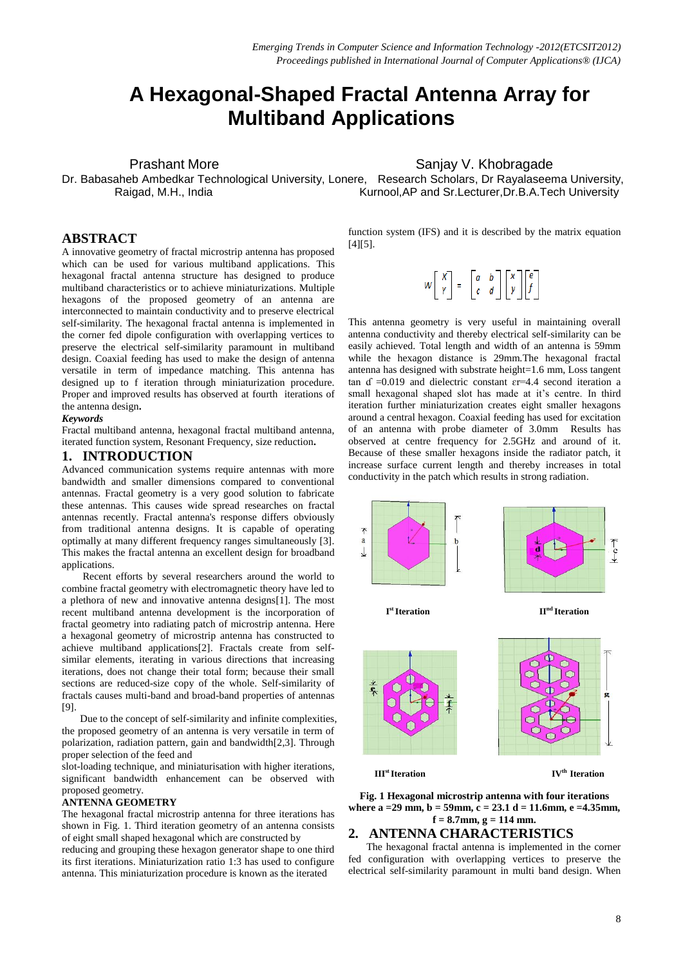# **A Hexagonal-Shaped Fractal Antenna Array for Multiband Applications**

Prashant More **Sanjay V. Khobragade** Sanjay V. Khobragade

Dr. Babasaheb Ambedkar Technological University, Lonere, Research Scholars, Dr Rayalaseema University, Raigad, M.H., India **Kurnool,AP** and Sr.Lecturer, Dr.B.A.Tech University

## **ABSTRACT**

A innovative geometry of fractal microstrip antenna has proposed which can be used for various multiband applications. This hexagonal fractal antenna structure has designed to produce multiband characteristics or to achieve miniaturizations. Multiple hexagons of the proposed geometry of an antenna are interconnected to maintain conductivity and to preserve electrical self-similarity. The hexagonal fractal antenna is implemented in the corner fed dipole configuration with overlapping vertices to preserve the electrical self-similarity paramount in multiband design. Coaxial feeding has used to make the design of antenna versatile in term of impedance matching. This antenna has designed up to f iteration through miniaturization procedure. Proper and improved results has observed at fourth iterations of the antenna design**.** 

#### *Keywords*

Fractal multiband antenna, hexagonal fractal multiband antenna, iterated function system, Resonant Frequency, size reduction**.**

# **1. INTRODUCTION**

Advanced communication systems require antennas with more bandwidth and smaller dimensions compared to conventional antennas. Fractal geometry is a very good solution to fabricate these antennas. This causes wide spread researches on fractal antennas recently. Fractal antenna's response differs obviously from traditional antenna designs. It is capable of operating optimally at many different frequency ranges simultaneously [3]. This makes the fractal antenna an excellent design for broadband applications.

 Recent efforts by several researchers around the world to combine fractal geometry with electromagnetic theory have led to a plethora of new and innovative antenna designs[1]. The most recent multiband antenna development is the incorporation of fractal geometry into radiating patch of microstrip antenna. Here a hexagonal geometry of microstrip antenna has constructed to achieve multiband applications[2]. Fractals create from selfsimilar elements, iterating in various directions that increasing iterations, does not change their total form; because their small sections are reduced-size copy of the whole. Self-similarity of fractals causes multi-band and broad-band properties of antennas [9].

 Due to the concept of self-similarity and infinite complexities, the proposed geometry of an antenna is very versatile in term of polarization, radiation pattern, gain and bandwidth[2,3]. Through proper selection of the feed and

slot-loading technique, and miniaturisation with higher iterations, significant bandwidth enhancement can be observed with proposed geometry.

#### **ANTENNA GEOMETRY**

The hexagonal fractal microstrip antenna for three iterations has shown in Fig. 1. Third iteration geometry of an antenna consists of eight small shaped hexagonal which are constructed by

reducing and grouping these hexagon generator shape to one third its first iterations. Miniaturization ratio 1:3 has used to configure antenna. This miniaturization procedure is known as the iterated

function system (IFS) and it is described by the matrix equation [4][5].

| $W\begin{bmatrix} X \\ Y \end{bmatrix} = \begin{bmatrix} a & b \\ c & d \end{bmatrix} \begin{bmatrix} X \\ Y \end{bmatrix} \begin{bmatrix} e \\ f \end{bmatrix}$ |  |  |  |
|------------------------------------------------------------------------------------------------------------------------------------------------------------------|--|--|--|
|------------------------------------------------------------------------------------------------------------------------------------------------------------------|--|--|--|

This antenna geometry is very useful in maintaining overall antenna conductivity and thereby electrical self-similarity can be easily achieved. Total length and width of an antenna is 59mm while the hexagon distance is 29mm.The hexagonal fractal antenna has designed with substrate height=1.6 mm, Loss tangent tan ɗ =0.019 and dielectric constant ɛr=4.4 second iteration a small hexagonal shaped slot has made at it's centre. In third iteration further miniaturization creates eight smaller hexagons around a central hexagon. Coaxial feeding has used for excitation of an antenna with probe diameter of 3.0mm Results has observed at centre frequency for 2.5GHz and around of it. Because of these smaller hexagons inside the radiator patch, it increase surface current length and thereby increases in total conductivity in the patch which results in strong radiation.



**Fig. 1 Hexagonal microstrip antenna with four iterations where a =29 mm, b = 59mm, c = 23.1 d = 11.6mm, e =4.35mm, f = 8.7mm, g = 114 mm.**

### **2. ANTENNA CHARACTERISTICS**

 The hexagonal fractal antenna is implemented in the corner fed configuration with overlapping vertices to preserve the electrical self-similarity paramount in multi band design. When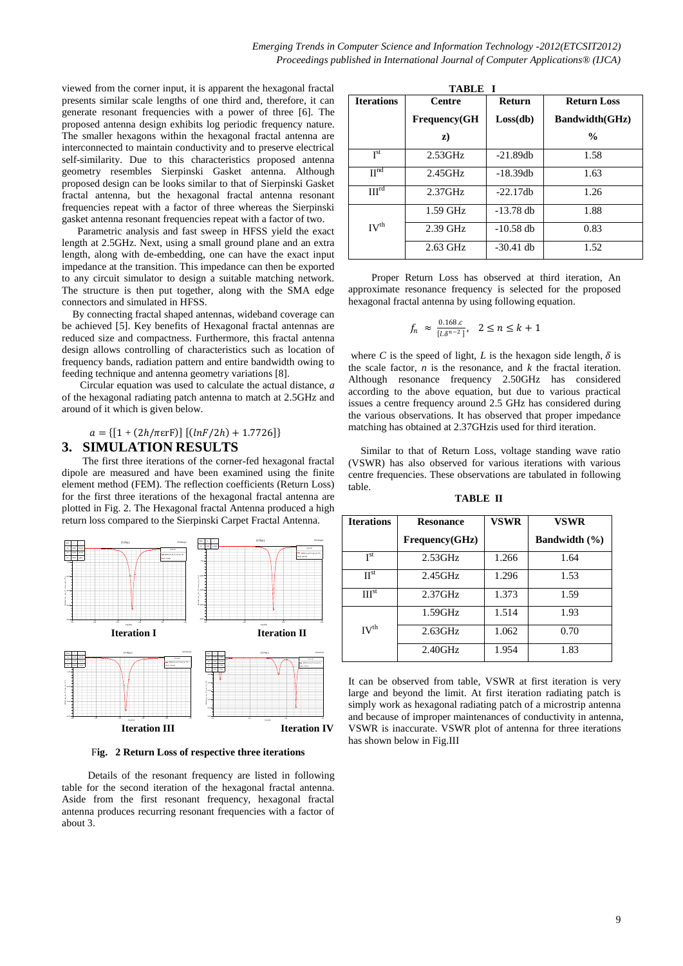viewed from the corner input, it is apparent the hexagonal fractal presents similar scale lengths of one third and, therefore, it can generate resonant frequencies with a power of three [6]. The proposed antenna design exhibits log periodic frequency nature. The smaller hexagons within the hexagonal fractal antenna are interconnected to maintain conductivity and to preserve electrical self-similarity. Due to this characteristics proposed antenna geometry resembles Sierpinski Gasket antenna. Although proposed design can be looks similar to that of Sierpinski Gasket fractal antenna, but the hexagonal fractal antenna resonant frequencies repeat with a factor of three whereas the Sierpinski gasket antenna resonant frequencies repeat with a factor of two.

 Parametric analysis and fast sweep in HFSS yield the exact length at 2.5GHz. Next, using a small ground plane and an extra length, along with de-embedding, one can have the exact input impedance at the transition. This impedance can then be exported to any circuit simulator to design a suitable matching network. The structure is then put together, along with the SMA edge connectors and simulated in HFSS.

 By connecting fractal shaped antennas, wideband coverage can be achieved [5]. Key benefits of Hexagonal fractal antennas are reduced size and compactness. Furthermore, this fractal antenna design allows controlling of characteristics such as location of frequency bands, radiation pattern and entire bandwidth owing to feeding technique and antenna geometry variations [8].

 Circular equation was used to calculate the actual distance, *a*  of the hexagonal radiating patch antenna to match at 2.5GHz and around of it which is given below.

#### $a = \{ [1 + (2h/\pi \text{erF})] [(lnF/2h) + 1.7726] \}$

## **3. SIMULATION RESULTS**

 The first three iterations of the corner-fed hexagonal fractal dipole are measured and have been examined using the finite element method (FEM). The reflection coefficients (Return Loss) for the first three iterations of the hexagonal fractal antenna are plotted in Fig. 2. The Hexagonal fractal Antenna produced a high return loss compared to the Sierpinski Carpet Fractal Antenna.



F**ig. 2 Return Loss of respective three iterations**

 Details of the resonant frequency are listed in following table for the second iteration of the hexagonal fractal antenna. Aside from the first resonant frequency, hexagonal fractal antenna produces recurring resonant frequencies with a factor of about 3.

| <b>TABLE I</b>      |                      |             |                       |  |  |  |
|---------------------|----------------------|-------------|-----------------------|--|--|--|
| <b>Iterations</b>   | <b>Centre</b>        | Return      | <b>Return Loss</b>    |  |  |  |
|                     | <b>Frequency</b> (GH | Loss(db)    | <b>Bandwidth(GHz)</b> |  |  |  |
|                     | z)                   |             | $\frac{0}{0}$         |  |  |  |
| I <sup>st</sup>     | $2.53$ GHz           | $-21.89db$  | 1.58                  |  |  |  |
| $\Pi$ <sup>nd</sup> | $2.45$ GHz           | $-18.39$ db | 1.63                  |  |  |  |
| III <sub>td</sub>   | $2.37$ GHz           | $-22.17dh$  | 1.26                  |  |  |  |
|                     | $1.59$ GHz           | $-13.78$ db | 1.88                  |  |  |  |
| IV <sup>th</sup>    | $2.39$ GHz           | $-10.58$ db | 0.83                  |  |  |  |
|                     | $2.63$ GHz           | $-30.41$ db | 1.52                  |  |  |  |

 Proper Return Loss has observed at third iteration, An approximate resonance frequency is selected for the proposed hexagonal fractal antenna by using following equation.

$$
f_n \approx \frac{0.168.c}{[l.\delta^{n-2}]}, \quad 2 \le n \le k+1
$$

where *C* is the speed of light, *L* is the hexagon side length,  $\delta$  is the scale factor,  $n$  is the resonance, and  $k$  the fractal iteration. Although resonance frequency 2.50GHz has considered according to the above equation, but due to various practical issues a centre frequency around 2.5 GHz has considered during the various observations. It has observed that proper impedance matching has obtained at 2.37GHzis used for third iteration.

Similar to that of Return Loss, voltage standing wave ratio (VSWR) has also observed for various iterations with various centre frequencies. These observations are tabulated in following table.

**TABLE II**

| <b>Iterations</b> | <b>Resonance</b> | <b>VSWR</b> | VSWR                 |
|-------------------|------------------|-------------|----------------------|
|                   | Frequency(GHz)   |             | <b>Bandwidth</b> (%) |
| I <sub>st</sub>   | $2.53$ GHz       | 1.266       | 1.64                 |
| $\Pi^{\rm st}$    | $2.45$ GHz       | 1.296       | 1.53                 |
| III <sup>st</sup> | $2.37$ GHz       | 1.373       | 1.59                 |
|                   | 1.59GHz          | 1.514       | 1.93                 |
| IV <sup>th</sup>  | $2.63$ GHz       | 1.062       | 0.70                 |
|                   | 2.40GHz          | 1.954       | 1.83                 |

It can be observed from table, VSWR at first iteration is very large and beyond the limit. At first iteration radiating patch is simply work as hexagonal radiating patch of a microstrip antenna and because of improper maintenances of conductivity in antenna, VSWR is inaccurate. VSWR plot of antenna for three iterations has shown below in Fig.III